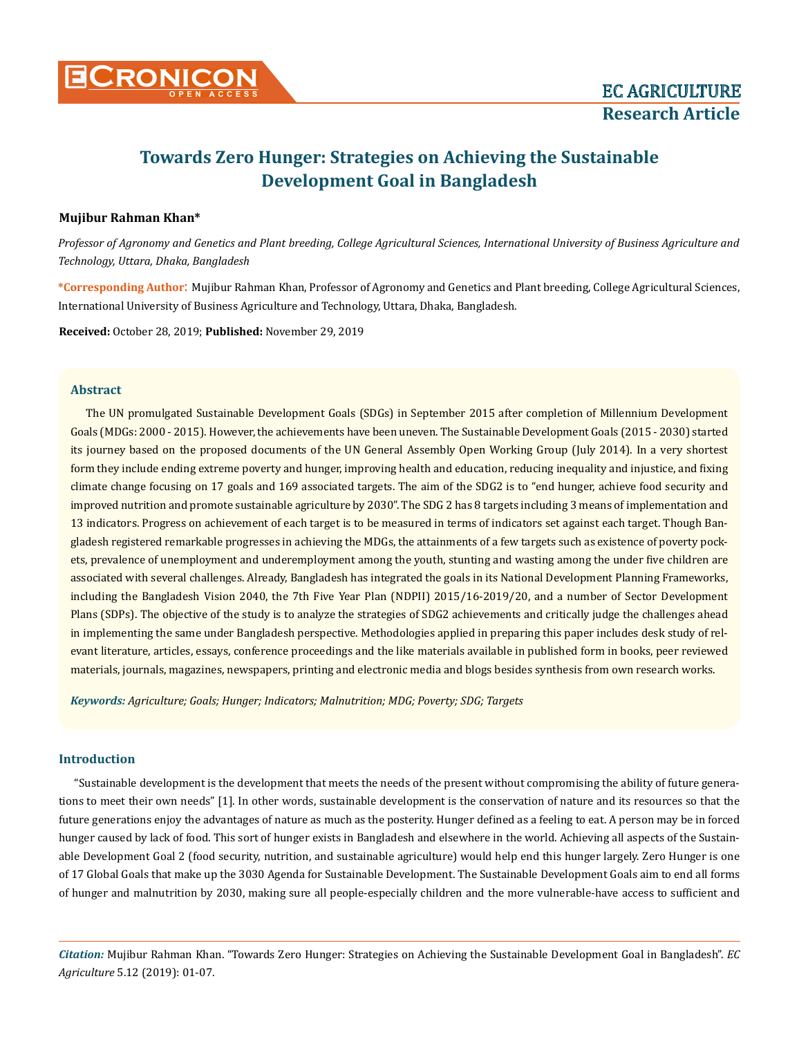

# **Towards Zero Hunger: Strategies on Achieving the Sustainable Development Goal in Bangladesh**

# **Mujibur Rahman Khan\***

*Professor of Agronomy and Genetics and Plant breeding, College Agricultural Sciences, International University of Business Agriculture and Technology, Uttara, Dhaka, Bangladesh* 

**\*Corresponding Author**: Mujibur Rahman Khan, Professor of Agronomy and Genetics and Plant breeding, College Agricultural Sciences, International University of Business Agriculture and Technology, Uttara, Dhaka, Bangladesh.

**Received:** October 28, 2019; **Published:** November 29, 2019

## **Abstract**

The UN promulgated Sustainable Development Goals (SDGs) in September 2015 after completion of Millennium Development Goals (MDGs: 2000 - 2015). However, the achievements have been uneven. The Sustainable Development Goals (2015 - 2030) started its journey based on the proposed documents of the UN General Assembly Open Working Group (July 2014). In a very shortest form they include ending extreme poverty and hunger, improving health and education, reducing inequality and injustice, and fixing climate change focusing on 17 goals and 169 associated targets. The aim of the SDG2 is to "end hunger, achieve food security and improved nutrition and promote sustainable agriculture by 2030". The SDG 2 has 8 targets including 3 means of implementation and 13 indicators. Progress on achievement of each target is to be measured in terms of indicators set against each target. Though Bangladesh registered remarkable progresses in achieving the MDGs, the attainments of a few targets such as existence of poverty pockets, prevalence of unemployment and underemployment among the youth, stunting and wasting among the under five children are associated with several challenges. Already, Bangladesh has integrated the goals in its National Development Planning Frameworks, including the Bangladesh Vision 2040, the 7th Five Year Plan (NDPII) 2015/16-2019/20, and a number of Sector Development Plans (SDPs). The objective of the study is to analyze the strategies of SDG2 achievements and critically judge the challenges ahead in implementing the same under Bangladesh perspective. Methodologies applied in preparing this paper includes desk study of relevant literature, articles, essays, conference proceedings and the like materials available in published form in books, peer reviewed materials, journals, magazines, newspapers, printing and electronic media and blogs besides synthesis from own research works.

*Keywords: Agriculture; Goals; Hunger; Indicators; Malnutrition; MDG; Poverty; SDG; Targets*

# **Introduction**

"Sustainable development is the development that meets the needs of the present without compromising the ability of future generations to meet their own needs" [1]. In other words, sustainable development is the conservation of nature and its resources so that the future generations enjoy the advantages of nature as much as the posterity. Hunger defined as a feeling to eat. A person may be in forced hunger caused by lack of food. This sort of hunger exists in Bangladesh and elsewhere in the world. Achieving all aspects of the Sustainable Development Goal 2 (food security, nutrition, and sustainable agriculture) would help end this hunger largely. Zero Hunger is one of 17 Global Goals that make up the 3030 Agenda for Sustainable Development. The Sustainable Development Goals aim to end all forms of hunger and malnutrition by 2030, making sure all people-especially children and the more vulnerable-have access to sufficient and

*Citation:* Mujibur Rahman Khan. "Towards Zero Hunger: Strategies on Achieving the Sustainable Development Goal in Bangladesh". *EC Agriculture* 5.12 (2019): 01-07.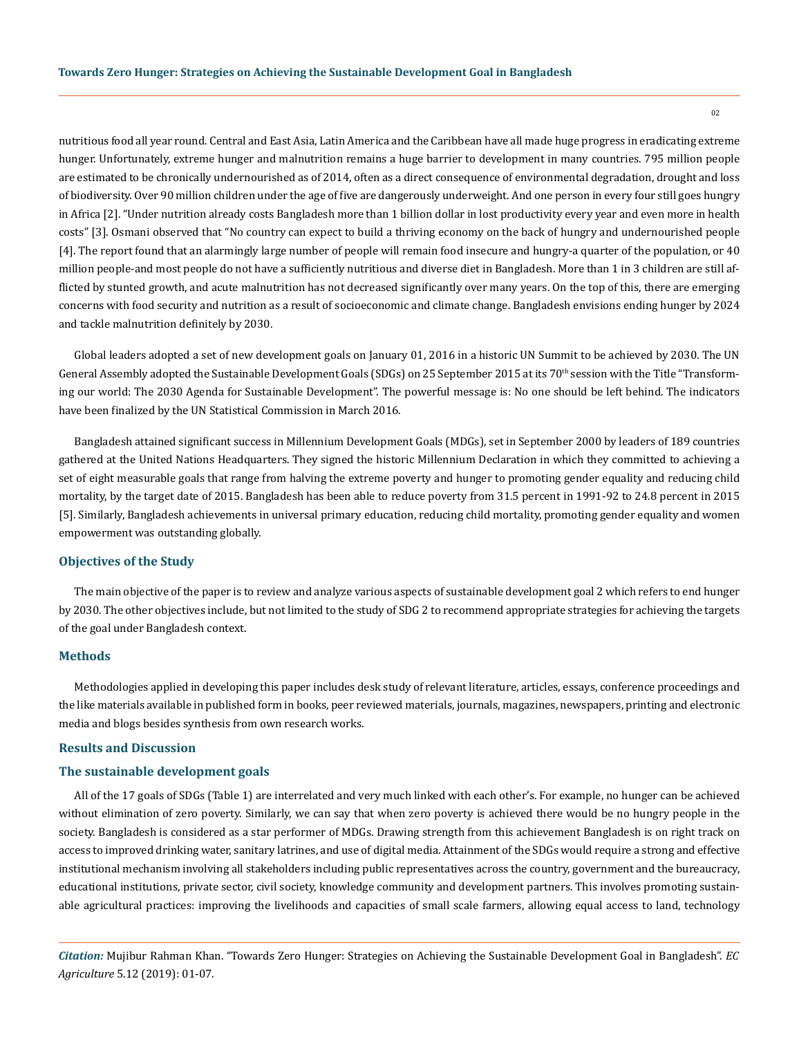nutritious food all year round. Central and East Asia, Latin America and the Caribbean have all made huge progress in eradicating extreme hunger. Unfortunately, extreme hunger and malnutrition remains a huge barrier to development in many countries. 795 million people are estimated to be chronically undernourished as of 2014, often as a direct consequence of environmental degradation, drought and loss of biodiversity. Over 90 million children under the age of five are dangerously underweight. And one person in every four still goes hungry in Africa [2]. "Under nutrition already costs Bangladesh more than 1 billion dollar in lost productivity every year and even more in health costs" [3]. Osmani observed that "No country can expect to build a thriving economy on the back of hungry and undernourished people [4]. The report found that an alarmingly large number of people will remain food insecure and hungry-a quarter of the population, or 40 million people-and most people do not have a sufficiently nutritious and diverse diet in Bangladesh. More than 1 in 3 children are still afflicted by stunted growth, and acute malnutrition has not decreased significantly over many years. On the top of this, there are emerging concerns with food security and nutrition as a result of socioeconomic and climate change. Bangladesh envisions ending hunger by 2024 and tackle malnutrition definitely by 2030.

Global leaders adopted a set of new development goals on January 01, 2016 in a historic UN Summit to be achieved by 2030. The UN General Assembly adopted the Sustainable Development Goals (SDGs) on 25 September 2015 at its 70<sup>th</sup> session with the Title "Transforming our world: The 2030 Agenda for Sustainable Development". The powerful message is: No one should be left behind. The indicators have been finalized by the UN Statistical Commission in March 2016.

Bangladesh attained significant success in Millennium Development Goals (MDGs), set in September 2000 by leaders of 189 countries gathered at the United Nations Headquarters. They signed the historic Millennium Declaration in which they committed to achieving a set of eight measurable goals that range from halving the extreme poverty and hunger to promoting gender equality and reducing child mortality, by the target date of 2015. Bangladesh has been able to reduce poverty from 31.5 percent in 1991-92 to 24.8 percent in 2015 [5]. Similarly, Bangladesh achievements in universal primary education, reducing child mortality, promoting gender equality and women empowerment was outstanding globally.

## **Objectives of the Study**

The main objective of the paper is to review and analyze various aspects of sustainable development goal 2 which refers to end hunger by 2030. The other objectives include, but not limited to the study of SDG 2 to recommend appropriate strategies for achieving the targets of the goal under Bangladesh context.

#### **Methods**

Methodologies applied in developing this paper includes desk study of relevant literature, articles, essays, conference proceedings and the like materials available in published form in books, peer reviewed materials, journals, magazines, newspapers, printing and electronic media and blogs besides synthesis from own research works.

# **Results and Discussion**

## **The sustainable development goals**

All of the 17 goals of SDGs (Table 1) are interrelated and very much linked with each other's. For example, no hunger can be achieved without elimination of zero poverty. Similarly, we can say that when zero poverty is achieved there would be no hungry people in the society. Bangladesh is considered as a star performer of MDGs. Drawing strength from this achievement Bangladesh is on right track on access to improved drinking water, sanitary latrines, and use of digital media. Attainment of the SDGs would require a strong and effective institutional mechanism involving all stakeholders including public representatives across the country, government and the bureaucracy, educational institutions, private sector, civil society, knowledge community and development partners. This involves promoting sustainable agricultural practices: improving the livelihoods and capacities of small scale farmers, allowing equal access to land, technology

*Citation:* Mujibur Rahman Khan. "Towards Zero Hunger: Strategies on Achieving the Sustainable Development Goal in Bangladesh". *EC Agriculture* 5.12 (2019): 01-07.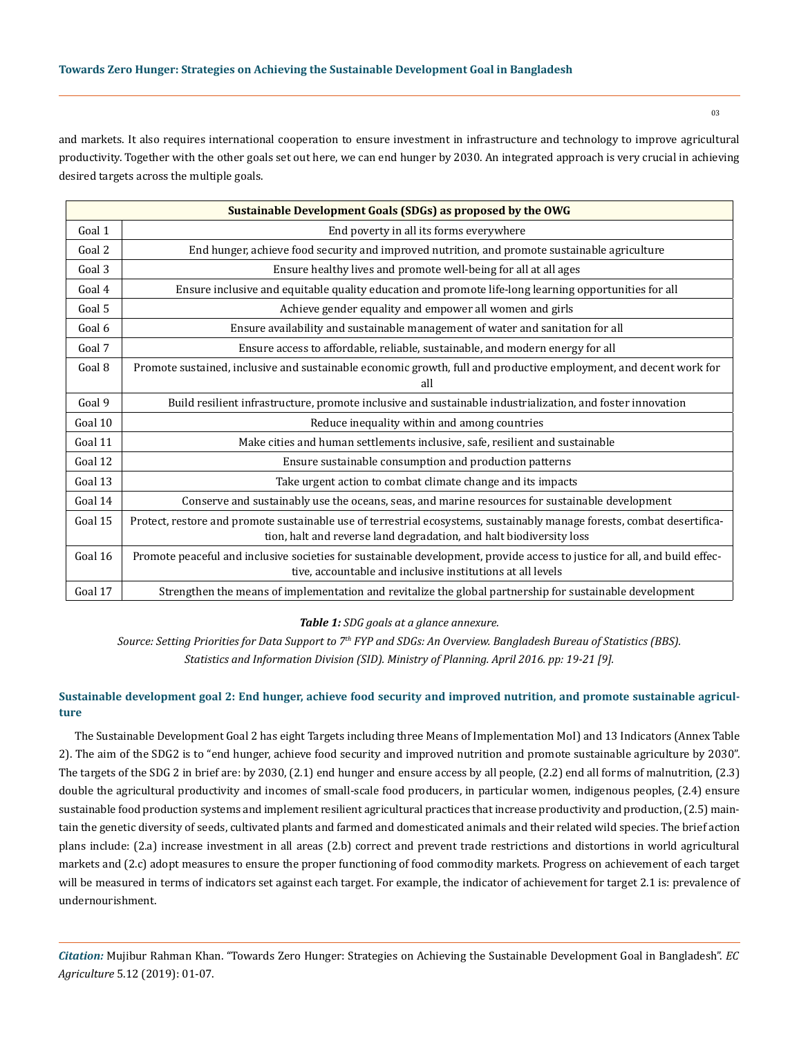and markets. It also requires international cooperation to ensure investment in infrastructure and technology to improve agricultural productivity. Together with the other goals set out here, we can end hunger by 2030. An integrated approach is very crucial in achieving desired targets across the multiple goals.

| <b>Sustainable Development Goals (SDGs) as proposed by the OWG</b> |                                                                                                                                                                                                |  |  |
|--------------------------------------------------------------------|------------------------------------------------------------------------------------------------------------------------------------------------------------------------------------------------|--|--|
| Goal 1                                                             | End poverty in all its forms everywhere                                                                                                                                                        |  |  |
| Goal 2                                                             | End hunger, achieve food security and improved nutrition, and promote sustainable agriculture                                                                                                  |  |  |
| Goal 3                                                             | Ensure healthy lives and promote well-being for all at all ages                                                                                                                                |  |  |
| Goal 4                                                             | Ensure inclusive and equitable quality education and promote life-long learning opportunities for all                                                                                          |  |  |
| Goal 5                                                             | Achieve gender equality and empower all women and girls                                                                                                                                        |  |  |
| Goal 6                                                             | Ensure availability and sustainable management of water and sanitation for all                                                                                                                 |  |  |
| Goal 7                                                             | Ensure access to affordable, reliable, sustainable, and modern energy for all                                                                                                                  |  |  |
| Goal 8                                                             | Promote sustained, inclusive and sustainable economic growth, full and productive employment, and decent work for<br>all                                                                       |  |  |
| Goal 9                                                             | Build resilient infrastructure, promote inclusive and sustainable industrialization, and foster innovation                                                                                     |  |  |
| Goal 10                                                            | Reduce inequality within and among countries                                                                                                                                                   |  |  |
| Goal 11                                                            | Make cities and human settlements inclusive, safe, resilient and sustainable                                                                                                                   |  |  |
| Goal 12                                                            | Ensure sustainable consumption and production patterns                                                                                                                                         |  |  |
| Goal 13                                                            | Take urgent action to combat climate change and its impacts                                                                                                                                    |  |  |
| Goal 14                                                            | Conserve and sustainably use the oceans, seas, and marine resources for sustainable development                                                                                                |  |  |
| Goal 15                                                            | Protect, restore and promote sustainable use of terrestrial ecosystems, sustainably manage forests, combat desertifica-<br>tion, halt and reverse land degradation, and halt biodiversity loss |  |  |
| Goal 16                                                            | Promote peaceful and inclusive societies for sustainable development, provide access to justice for all, and build effec-<br>tive, accountable and inclusive institutions at all levels        |  |  |
| Goal 17                                                            | Strengthen the means of implementation and revitalize the global partnership for sustainable development                                                                                       |  |  |

## *Table 1: SDG goals at a glance annexure.*

*Source: Setting Priorities for Data Support to 7th FYP and SDGs: An Overview. Bangladesh Bureau of Statistics (BBS). Statistics and Information Division (SID). Ministry of Planning. April 2016. pp: 19-21 [9].*

# **Sustainable development goal 2: End hunger, achieve food security and improved nutrition, and promote sustainable agriculture**

The Sustainable Development Goal 2 has eight Targets including three Means of Implementation MoI) and 13 Indicators (Annex Table 2). The aim of the SDG2 is to "end hunger, achieve food security and improved nutrition and promote sustainable agriculture by 2030". The targets of the SDG 2 in brief are: by 2030, (2.1) end hunger and ensure access by all people, (2.2) end all forms of malnutrition, (2.3) double the agricultural productivity and incomes of small-scale food producers, in particular women, indigenous peoples, (2.4) ensure sustainable food production systems and implement resilient agricultural practices that increase productivity and production, (2.5) maintain the genetic diversity of seeds, cultivated plants and farmed and domesticated animals and their related wild species. The brief action plans include: (2.a) increase investment in all areas (2.b) correct and prevent trade restrictions and distortions in world agricultural markets and (2.c) adopt measures to ensure the proper functioning of food commodity markets. Progress on achievement of each target will be measured in terms of indicators set against each target. For example, the indicator of achievement for target 2.1 is: prevalence of undernourishment.

*Citation:* Mujibur Rahman Khan. "Towards Zero Hunger: Strategies on Achieving the Sustainable Development Goal in Bangladesh". *EC Agriculture* 5.12 (2019): 01-07.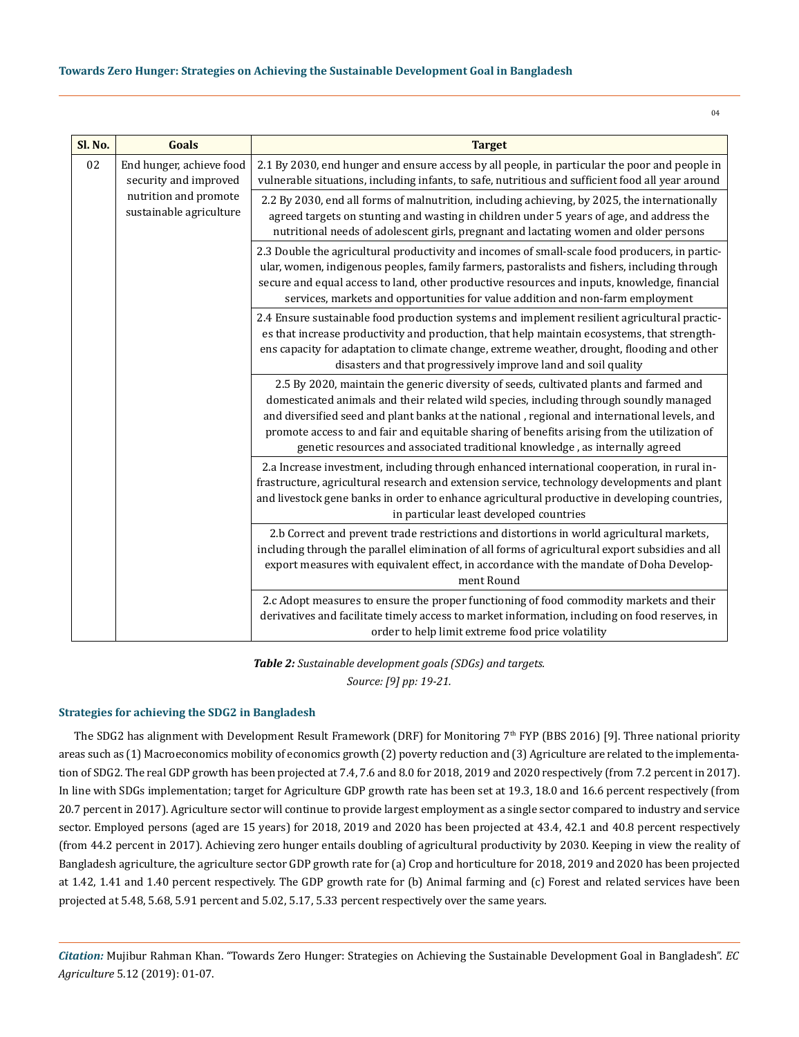04

| Sl. No. | Goals                                                                                                 | <b>Target</b>                                                                                                                                                                                                                                                                                                                                                                                                                                                    |
|---------|-------------------------------------------------------------------------------------------------------|------------------------------------------------------------------------------------------------------------------------------------------------------------------------------------------------------------------------------------------------------------------------------------------------------------------------------------------------------------------------------------------------------------------------------------------------------------------|
| 02      | End hunger, achieve food<br>security and improved<br>nutrition and promote<br>sustainable agriculture | 2.1 By 2030, end hunger and ensure access by all people, in particular the poor and people in<br>vulnerable situations, including infants, to safe, nutritious and sufficient food all year around                                                                                                                                                                                                                                                               |
|         |                                                                                                       | 2.2 By 2030, end all forms of malnutrition, including achieving, by 2025, the internationally<br>agreed targets on stunting and wasting in children under 5 years of age, and address the<br>nutritional needs of adolescent girls, pregnant and lactating women and older persons                                                                                                                                                                               |
|         |                                                                                                       | 2.3 Double the agricultural productivity and incomes of small-scale food producers, in partic-<br>ular, women, indigenous peoples, family farmers, pastoralists and fishers, including through<br>secure and equal access to land, other productive resources and inputs, knowledge, financial<br>services, markets and opportunities for value addition and non-farm employment                                                                                 |
|         |                                                                                                       | 2.4 Ensure sustainable food production systems and implement resilient agricultural practic-<br>es that increase productivity and production, that help maintain ecosystems, that strength-<br>ens capacity for adaptation to climate change, extreme weather, drought, flooding and other<br>disasters and that progressively improve land and soil quality                                                                                                     |
|         |                                                                                                       | 2.5 By 2020, maintain the generic diversity of seeds, cultivated plants and farmed and<br>domesticated animals and their related wild species, including through soundly managed<br>and diversified seed and plant banks at the national, regional and international levels, and<br>promote access to and fair and equitable sharing of benefits arising from the utilization of<br>genetic resources and associated traditional knowledge, as internally agreed |
|         |                                                                                                       | 2.a Increase investment, including through enhanced international cooperation, in rural in-<br>frastructure, agricultural research and extension service, technology developments and plant<br>and livestock gene banks in order to enhance agricultural productive in developing countries,<br>in particular least developed countries                                                                                                                          |
|         |                                                                                                       | 2.b Correct and prevent trade restrictions and distortions in world agricultural markets,<br>including through the parallel elimination of all forms of agricultural export subsidies and all<br>export measures with equivalent effect, in accordance with the mandate of Doha Develop-<br>ment Round                                                                                                                                                           |
|         |                                                                                                       | 2.c Adopt measures to ensure the proper functioning of food commodity markets and their<br>derivatives and facilitate timely access to market information, including on food reserves, in<br>order to help limit extreme food price volatility                                                                                                                                                                                                                   |

*Table 2: Sustainable development goals (SDGs) and targets. Source: [9] pp: 19-21.*

## **Strategies for achieving the SDG2 in Bangladesh**

The SDG2 has alignment with Development Result Framework (DRF) for Monitoring  $7<sup>th</sup>$  FYP (BBS 2016) [9]. Three national priority areas such as (1) Macroeconomics mobility of economics growth (2) poverty reduction and (3) Agriculture are related to the implementation of SDG2. The real GDP growth has been projected at 7.4, 7.6 and 8.0 for 2018, 2019 and 2020 respectively (from 7.2 percent in 2017). In line with SDGs implementation; target for Agriculture GDP growth rate has been set at 19.3, 18.0 and 16.6 percent respectively (from 20.7 percent in 2017). Agriculture sector will continue to provide largest employment as a single sector compared to industry and service sector. Employed persons (aged are 15 years) for 2018, 2019 and 2020 has been projected at 43.4, 42.1 and 40.8 percent respectively (from 44.2 percent in 2017). Achieving zero hunger entails doubling of agricultural productivity by 2030. Keeping in view the reality of Bangladesh agriculture, the agriculture sector GDP growth rate for (a) Crop and horticulture for 2018, 2019 and 2020 has been projected at 1.42, 1.41 and 1.40 percent respectively. The GDP growth rate for (b) Animal farming and (c) Forest and related services have been projected at 5.48, 5.68, 5.91 percent and 5.02, 5.17, 5.33 percent respectively over the same years.

*Citation:* Mujibur Rahman Khan. "Towards Zero Hunger: Strategies on Achieving the Sustainable Development Goal in Bangladesh". *EC Agriculture* 5.12 (2019): 01-07.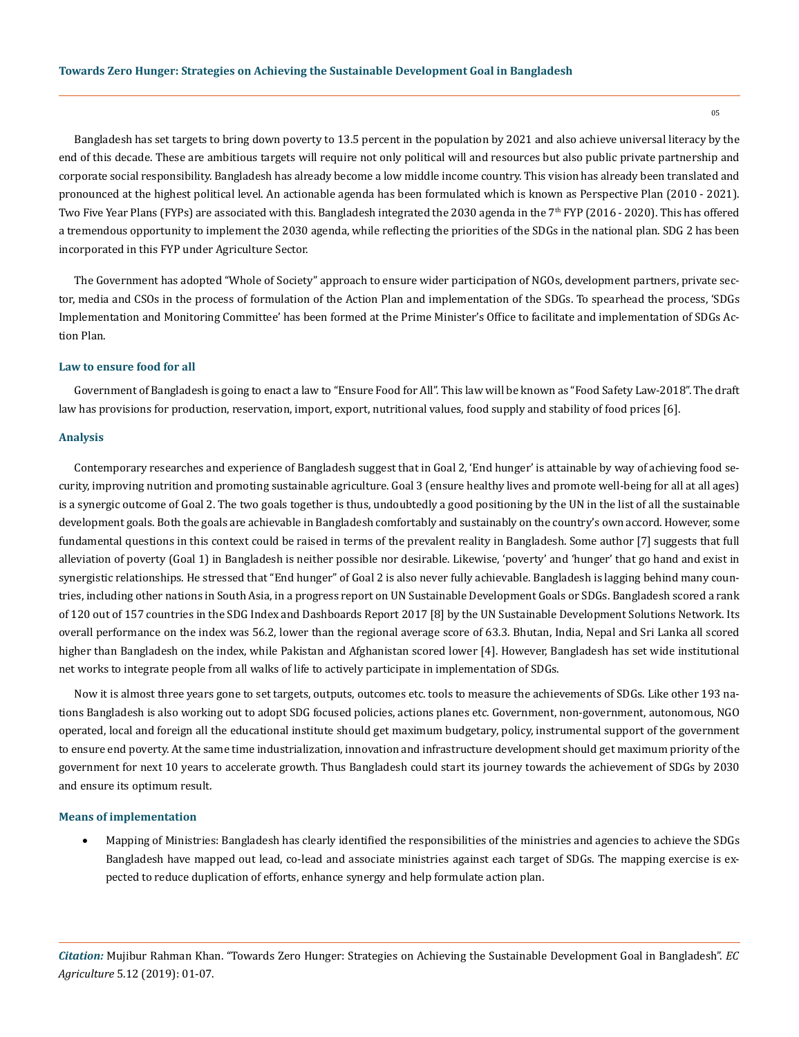Bangladesh has set targets to bring down poverty to 13.5 percent in the population by 2021 and also achieve universal literacy by the end of this decade. These are ambitious targets will require not only political will and resources but also public private partnership and corporate social responsibility. Bangladesh has already become a low middle income country. This vision has already been translated and pronounced at the highest political level. An actionable agenda has been formulated which is known as Perspective Plan (2010 - 2021). Two Five Year Plans (FYPs) are associated with this. Bangladesh integrated the 2030 agenda in the 7<sup>th</sup> FYP (2016 - 2020). This has offered a tremendous opportunity to implement the 2030 agenda, while reflecting the priorities of the SDGs in the national plan. SDG 2 has been incorporated in this FYP under Agriculture Sector.

The Government has adopted "Whole of Society" approach to ensure wider participation of NGOs, development partners, private sector, media and CSOs in the process of formulation of the Action Plan and implementation of the SDGs. To spearhead the process, 'SDGs Implementation and Monitoring Committee' has been formed at the Prime Minister's Office to facilitate and implementation of SDGs Action Plan.

## **Law to ensure food for all**

Government of Bangladesh is going to enact a law to "Ensure Food for All". This law will be known as "Food Safety Law-2018". The draft law has provisions for production, reservation, import, export, nutritional values, food supply and stability of food prices [6].

#### **Analysis**

Contemporary researches and experience of Bangladesh suggest that in Goal 2, 'End hunger' is attainable by way of achieving food security, improving nutrition and promoting sustainable agriculture. Goal 3 (ensure healthy lives and promote well-being for all at all ages) is a synergic outcome of Goal 2. The two goals together is thus, undoubtedly a good positioning by the UN in the list of all the sustainable development goals. Both the goals are achievable in Bangladesh comfortably and sustainably on the country's own accord. However, some fundamental questions in this context could be raised in terms of the prevalent reality in Bangladesh. Some author [7] suggests that full alleviation of poverty (Goal 1) in Bangladesh is neither possible nor desirable. Likewise, 'poverty' and 'hunger' that go hand and exist in synergistic relationships. He stressed that "End hunger" of Goal 2 is also never fully achievable. Bangladesh is lagging behind many countries, including other nations in South Asia, in a progress report on UN Sustainable Development Goals or SDGs. Bangladesh scored a rank of 120 out of 157 countries in the SDG Index and Dashboards Report 2017 [8] by the UN Sustainable Development Solutions Network. Its overall performance on the index was 56.2, lower than the regional average score of 63.3. Bhutan, India, Nepal and Sri Lanka all scored higher than Bangladesh on the index, while Pakistan and Afghanistan scored lower [4]. However, Bangladesh has set wide institutional net works to integrate people from all walks of life to actively participate in implementation of SDGs.

Now it is almost three years gone to set targets, outputs, outcomes etc. tools to measure the achievements of SDGs. Like other 193 nations Bangladesh is also working out to adopt SDG focused policies, actions planes etc. Government, non-government, autonomous, NGO operated, local and foreign all the educational institute should get maximum budgetary, policy, instrumental support of the government to ensure end poverty. At the same time industrialization, innovation and infrastructure development should get maximum priority of the government for next 10 years to accelerate growth. Thus Bangladesh could start its journey towards the achievement of SDGs by 2030 and ensure its optimum result.

## **Means of implementation**

Mapping of Ministries: Bangladesh has clearly identified the responsibilities of the ministries and agencies to achieve the SDGs Bangladesh have mapped out lead, co-lead and associate ministries against each target of SDGs. The mapping exercise is expected to reduce duplication of efforts, enhance synergy and help formulate action plan.

*Citation:* Mujibur Rahman Khan. "Towards Zero Hunger: Strategies on Achieving the Sustainable Development Goal in Bangladesh". *EC Agriculture* 5.12 (2019): 01-07.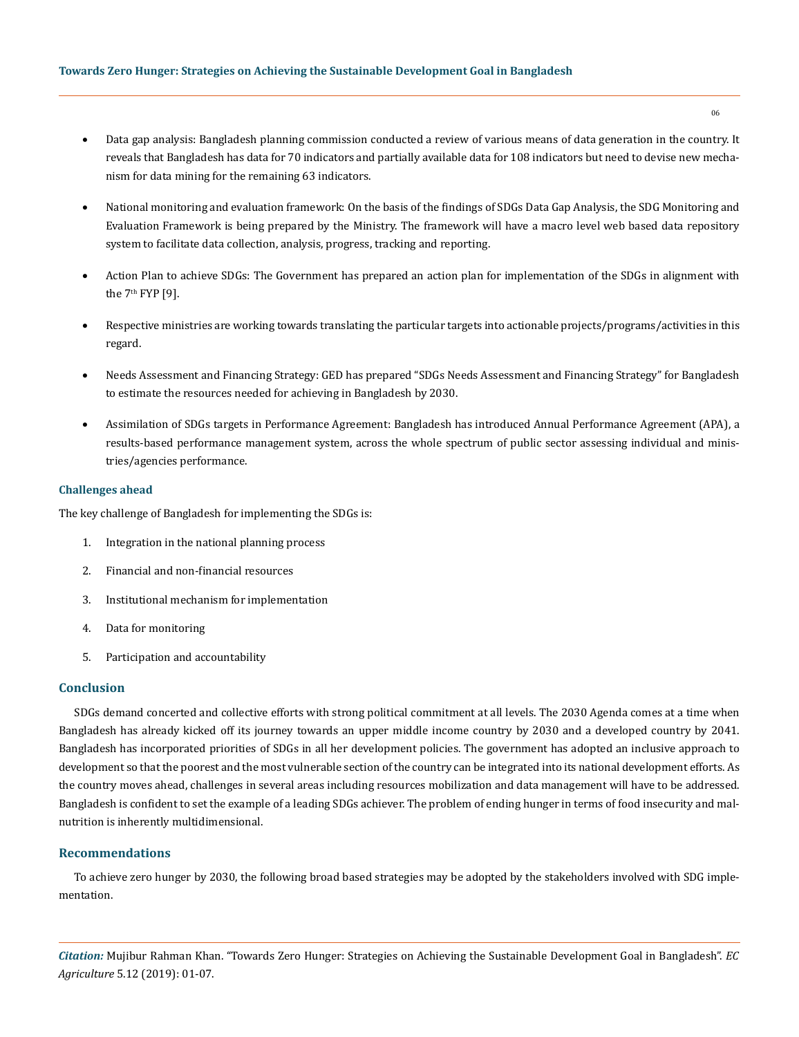- Data gap analysis: Bangladesh planning commission conducted a review of various means of data generation in the country. It reveals that Bangladesh has data for 70 indicators and partially available data for 108 indicators but need to devise new mechanism for data mining for the remaining 63 indicators.
- • National monitoring and evaluation framework: On the basis of the findings of SDGs Data Gap Analysis, the SDG Monitoring and Evaluation Framework is being prepared by the Ministry. The framework will have a macro level web based data repository system to facilitate data collection, analysis, progress, tracking and reporting.
- • Action Plan to achieve SDGs: The Government has prepared an action plan for implementation of the SDGs in alignment with the  $7<sup>th</sup> FYP [9]$ .
- Respective ministries are working towards translating the particular targets into actionable projects/programs/activities in this regard.
- Needs Assessment and Financing Strategy: GED has prepared "SDGs Needs Assessment and Financing Strategy" for Bangladesh to estimate the resources needed for achieving in Bangladesh by 2030.
- Assimilation of SDGs targets in Performance Agreement: Bangladesh has introduced Annual Performance Agreement (APA), a results-based performance management system, across the whole spectrum of public sector assessing individual and ministries/agencies performance.

## **Challenges ahead**

The key challenge of Bangladesh for implementing the SDGs is:

- 1. Integration in the national planning process
- 2. Financial and non-financial resources
- 3. Institutional mechanism for implementation
- 4. Data for monitoring
- 5. Participation and accountability

#### **Conclusion**

SDGs demand concerted and collective efforts with strong political commitment at all levels. The 2030 Agenda comes at a time when Bangladesh has already kicked off its journey towards an upper middle income country by 2030 and a developed country by 2041. Bangladesh has incorporated priorities of SDGs in all her development policies. The government has adopted an inclusive approach to development so that the poorest and the most vulnerable section of the country can be integrated into its national development efforts. As the country moves ahead, challenges in several areas including resources mobilization and data management will have to be addressed. Bangladesh is confident to set the example of a leading SDGs achiever. The problem of ending hunger in terms of food insecurity and malnutrition is inherently multidimensional.

## **Recommendations**

To achieve zero hunger by 2030, the following broad based strategies may be adopted by the stakeholders involved with SDG implementation.

*Citation:* Mujibur Rahman Khan. "Towards Zero Hunger: Strategies on Achieving the Sustainable Development Goal in Bangladesh". *EC Agriculture* 5.12 (2019): 01-07.